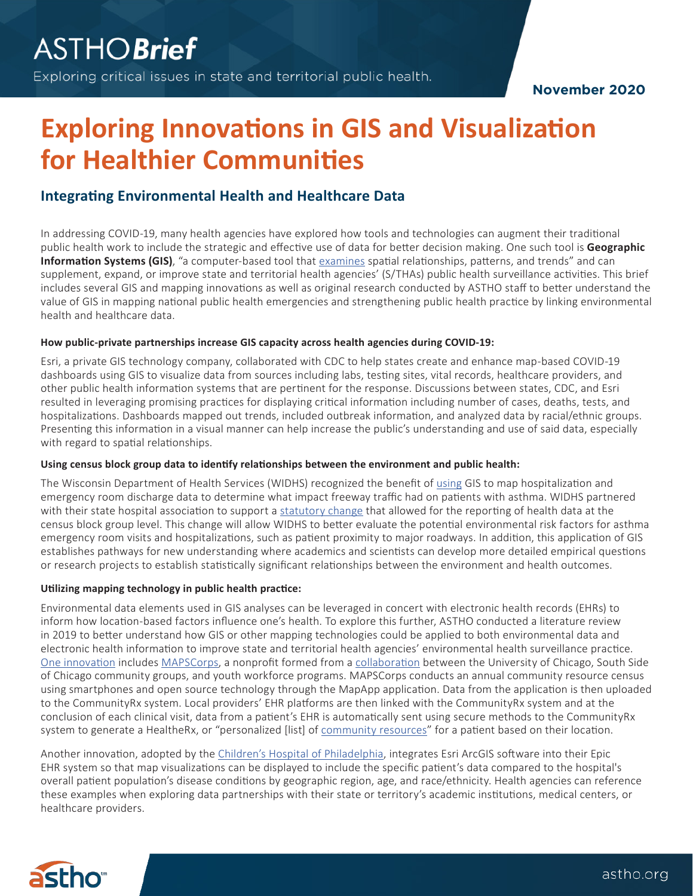**November 2020**

# **Exploring Innovations in GIS and Visualization for Healthier Communities**

## **Integrating Environmental Health and Healthcare Data**

In addressing COVID-19, many health agencies have explored how tools and technologies can augment their traditional public health work to include the strategic and effective use of data for better decision making. One such tool is **Geographic Information Systems (GIS)**, "a computer-based tool that [examines](https://gisgeography.com/what-gis-geographic-information-systems/) spatial relationships, patterns, and trends" and can supplement, expand, or improve state and territorial health agencies' (S/THAs) public health surveillance activities. This brief includes several GIS and mapping innovations as well as original research conducted by ASTHO staff to better understand the value of GIS in mapping national public health emergencies and strengthening public health practice by linking environmental health and healthcare data.

#### **How public-private partnerships increase GIS capacity across health agencies during COVID-19:**

Esri, a private GIS technology company, collaborated with CDC to help states create and enhance map-based COVID-19 dashboards using GIS to visualize data from sources including labs, testing sites, vital records, healthcare providers, and other public health information systems that are pertinent for the response. Discussions between states, CDC, and Esri resulted in leveraging promising practices for displaying critical information including number of cases, deaths, tests, and hospitalizations. Dashboards mapped out trends, included outbreak information, and analyzed data by racial/ethnic groups. Presenting this information in a visual manner can help increase the public's understanding and use of said data, especially with regard to spatial relationships.

### **Using census block group data to identify relationships between the environment and public health:**

The Wisconsin Department of Health Services (WIDHS) recognized the benefit of [using](https://www.astho.org/generickey/GenericKeyDetails.aspx?contentid=21512&folderid=5162&catid=7254) GIS to map hospitalization and emergency room discharge data to determine what impact freeway traffic had on patients with asthma. WIDHS partnered with their state hospital association to support a [statutory change](https://docs.legis.wisconsin.gov/statutes/statutes/153/I/50/6/a) that allowed for the reporting of health data at the census block group level. This change will allow WIDHS to better evaluate the potential environmental risk factors for asthma emergency room visits and hospitalizations, such as patient proximity to major roadways. In addition, this application of GIS establishes pathways for new understanding where academics and scientists can develop more detailed empirical questions or research projects to establish statistically significant relationships between the environment and health outcomes.

### **Utilizing mapping technology in public health practice:**

Environmental data elements used in GIS analyses can be leveraged in concert with electronic health records (EHRs) to inform how location-based factors influence one's health. To explore this further, ASTHO conducted a literature review in 2019 to better understand how GIS or other mapping technologies could be applied to both environmental data and electronic health information to improve state and territorial health agencies' environmental health surveillance practice. [One innovation](https://www.healthaffairs.org/doi/full/10.1377/hlthaff.2016.0694) includes [MAPSCorps](https://mapscorps.org), a nonprofit formed from a [collaboration](https://www.ncbi.nlm.nih.gov/pmc/articles/PMC3477998/#!po=2.17391) between the University of Chicago, South Side of Chicago community groups, and youth workforce programs. MAPSCorps conducts an annual community resource census using smartphones and open source technology through the MapApp application. Data from the application is then uploaded to the CommunityRx system. Local providers' EHR platforms are then linked with the CommunityRx system and at the conclusion of each clinical visit, data from a patient's EHR is automatically sent using secure methods to the CommunityRx system to generate a HealtheRx, or "personalized [list] of [community resources](https://www.healthaffairs.org/doi/full/10.1377/hlthaff.2016.0694)" for a patient based on their location.

Another innovation, adopted by the [Children's Hospital of Philadelphia,](https://proceedings.esri.com/library/userconf/proc16/papers/482_686.pdf) integrates Esri ArcGIS software into their Epic EHR system so that map visualizations can be displayed to include the specific patient's data compared to the hospital's overall patient population's disease conditions by geographic region, age, and race/ethnicity. Health agencies can reference these examples when exploring data partnerships with their state or territory's academic institutions, medical centers, or healthcare providers.